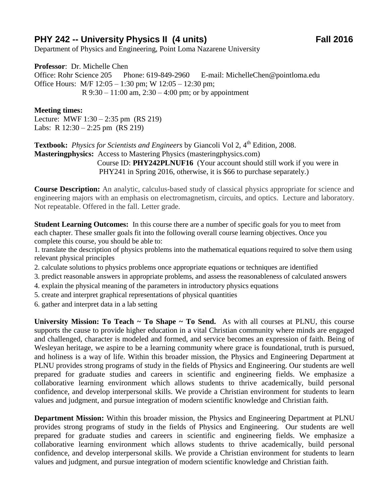## **PHY 242 -- University Physics II (4 units)** Fall 2016

Department of Physics and Engineering, Point Loma Nazarene University

**Professor**: Dr. Michelle Chen Office: Rohr Science 205 Phone: 619-849-2960 E-mail: MichelleChen@pointloma.edu Office Hours: M/F 12:05 – 1:30 pm; W 12:05 – 12:30 pm; R  $9:30 - 11:00$  am,  $2:30 - 4:00$  pm; or by appointment

## **Meeting times:**

Lecture: MWF 1:30 – 2:35 pm (RS 219) Labs: R 12:30 – 2:25 pm (RS 219)

**Textbook:** *Physics for Scientists and Engineers* by Giancoli Vol 2, 4<sup>th</sup> Edition, 2008. **Masteringphysics:** Access to Mastering Physics (masteringphysics.com) Course ID: **PHY242PLNUF16** (Your account should still work if you were in PHY241 in Spring 2016, otherwise, it is \$66 to purchase separately.)

**Course Description:** An analytic, calculus-based study of classical physics appropriate for science and engineering majors with an emphasis on electromagnetism, circuits, and optics. Lecture and laboratory. Not repeatable. Offered in the fall. Letter grade.

**Student Learning Outcomes:** In this course there are a number of specific goals for you to meet from each chapter. These smaller goals fit into the following overall course learning objectives. Once you complete this course, you should be able to:

1. translate the description of physics problems into the mathematical equations required to solve them using relevant physical principles

- 2. calculate solutions to physics problems once appropriate equations or techniques are identified
- 3. predict reasonable answers in appropriate problems, and assess the reasonableness of calculated answers
- 4. explain the physical meaning of the parameters in introductory physics equations
- 5. create and interpret graphical representations of physical quantities

6. gather and interpret data in a lab setting

**University Mission: To Teach ~ To Shape ~ To Send.** As with all courses at PLNU, this course supports the cause to provide higher education in a vital Christian community where minds are engaged and challenged, character is modeled and formed, and service becomes an expression of faith. Being of Wesleyan heritage, we aspire to be a learning community where grace is foundational, truth is pursued, and holiness is a way of life. Within this broader mission, the Physics and Engineering Department at PLNU provides strong programs of study in the fields of Physics and Engineering. Our students are well prepared for graduate studies and careers in scientific and engineering fields. We emphasize a collaborative learning environment which allows students to thrive academically, build personal confidence, and develop interpersonal skills. We provide a Christian environment for students to learn values and judgment, and pursue integration of modern scientific knowledge and Christian faith.

**Department Mission:** Within this broader mission, the Physics and Engineering Department at PLNU provides strong programs of study in the fields of Physics and Engineering. Our students are well prepared for graduate studies and careers in scientific and engineering fields. We emphasize a collaborative learning environment which allows students to thrive academically, build personal confidence, and develop interpersonal skills. We provide a Christian environment for students to learn values and judgment, and pursue integration of modern scientific knowledge and Christian faith.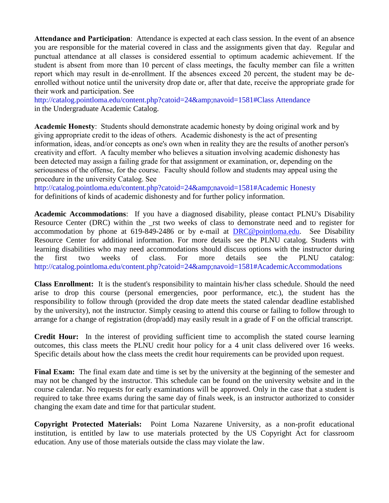**Attendance and Participation**: Attendance is expected at each class session. In the event of an absence you are responsible for the material covered in class and the assignments given that day. Regular and punctual attendance at all classes is considered essential to optimum academic achievement. If the student is absent from more than 10 percent of class meetings, the faculty member can file a written report which may result in de-enrollment. If the absences exceed 20 percent, the student may be deenrolled without notice until the university drop date or, after that date, receive the appropriate grade for their work and participation. See

http://catalog.pointloma.edu/content.php?catoid=24&navoid=1581#Class Attendance in the Undergraduate Academic Catalog.

**Academic Honesty**: Students should demonstrate academic honesty by doing original work and by giving appropriate credit to the ideas of others. Academic dishonesty is the act of presenting information, ideas, and/or concepts as one's own when in reality they are the results of another person's creativity and effort. A faculty member who believes a situation involving academic dishonesty has been detected may assign a failing grade for that assignment or examination, or, depending on the seriousness of the offense, for the course. Faculty should follow and students may appeal using the procedure in the university Catalog. See

http://catalog.pointloma.edu/content.php?catoid=24&navoid=1581#Academic Honesty for definitions of kinds of academic dishonesty and for further policy information.

**Academic Accommodations**: If you have a diagnosed disability, please contact PLNU's Disability Resource Center (DRC) within the rst two weeks of class to demonstrate need and to register for accommodation by phone at 619-849-2486 or by e-mail at [DRC@pointloma.edu.](mailto:DRC@pointloma.edu) See Disability Resource Center for additional information. For more details see the PLNU catalog. Students with learning disabilities who may need accommodations should discuss options with the instructor during the first two weeks of class. For more details see the PLNU catalog: http://catalog.pointloma.edu/content.php?catoid=24&navoid=1581#AcademicAccommodations

**Class Enrollment:** It is the student's responsibility to maintain his/her class schedule. Should the need arise to drop this course (personal emergencies, poor performance, etc.), the student has the responsibility to follow through (provided the drop date meets the stated calendar deadline established by the university), not the instructor. Simply ceasing to attend this course or failing to follow through to arrange for a change of registration (drop/add) may easily result in a grade of F on the official transcript.

**Credit Hour:** In the interest of providing sufficient time to accomplish the stated course learning outcomes, this class meets the PLNU credit hour policy for a 4 unit class delivered over 16 weeks. Specific details about how the class meets the credit hour requirements can be provided upon request.

**Final Exam:** The final exam date and time is set by the university at the beginning of the semester and may not be changed by the instructor. This schedule can be found on the university website and in the course calendar. No requests for early examinations will be approved. Only in the case that a student is required to take three exams during the same day of finals week, is an instructor authorized to consider changing the exam date and time for that particular student.

**Copyright Protected Materials:** Point Loma Nazarene University, as a non-profit educational institution, is entitled by law to use materials protected by the US Copyright Act for classroom education. Any use of those materials outside the class may violate the law.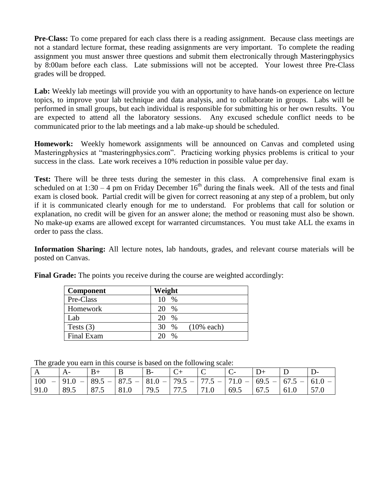**Pre-Class:** To come prepared for each class there is a reading assignment. Because class meetings are not a standard lecture format, these reading assignments are very important. To complete the reading assignment you must answer three questions and submit them electronically through Masteringphysics by 8:00am before each class. Late submissions will not be accepted. Your lowest three Pre-Class grades will be dropped.

Lab: Weekly lab meetings will provide you with an opportunity to have hands-on experience on lecture topics, to improve your lab technique and data analysis, and to collaborate in groups. Labs will be performed in small groups, but each individual is responsible for submitting his or her own results. You are expected to attend all the laboratory sessions. Any excused schedule conflict needs to be communicated prior to the lab meetings and a lab make-up should be scheduled.

**Homework:** Weekly homework assignments will be announced on Canvas and completed using Masteringphysics at "masteringphysics.com". Practicing working physics problems is critical to your success in the class. Late work receives a 10% reduction in possible value per day.

**Test:** There will be three tests during the semester in this class. A comprehensive final exam is scheduled on at  $1:30 - 4$  pm on Friday December  $16<sup>th</sup>$  during the finals week. All of the tests and final exam is closed book. Partial credit will be given for correct reasoning at any step of a problem, but only if it is communicated clearly enough for me to understand. For problems that call for solution or explanation, no credit will be given for an answer alone; the method or reasoning must also be shown. No make-up exams are allowed except for warranted circumstances. You must take ALL the exams in order to pass the class.

**Information Sharing:** All lecture notes, lab handouts, grades, and relevant course materials will be posted on Canvas.

| <b>Component</b> | Weight                      |
|------------------|-----------------------------|
| Pre-Class        | $\%$<br>10                  |
| Homework         | $\%$<br>20                  |
| Lab              | 20<br>$\%$                  |
| Tests $(3)$      | $(10\%$ each)<br>30<br>$\%$ |
| Final Exam       | $\%$                        |

**Final Grade:** The points you receive during the course are weighted accordingly:

The grade you earn in this course is based on the following scale:

|      |                                                                           | $B+$ |                                                                                            |  |  |               |  |
|------|---------------------------------------------------------------------------|------|--------------------------------------------------------------------------------------------|--|--|---------------|--|
| 100  | $- 91.0 - 89.5 - 87.5 - 81.0 - 79.5 - 77.5 - 71.0 - 69.5 - 67.5 - 61.0 -$ |      |                                                                                            |  |  |               |  |
| 91.0 | 89.5                                                                      |      | $\vert$ 87.5 $\vert$ 81.0 $\vert$ 79.5 $\vert$ 77.5 $\vert$ 71.0 $\vert$ 69.5 $\vert$ 67.5 |  |  | $61.0$   57.0 |  |